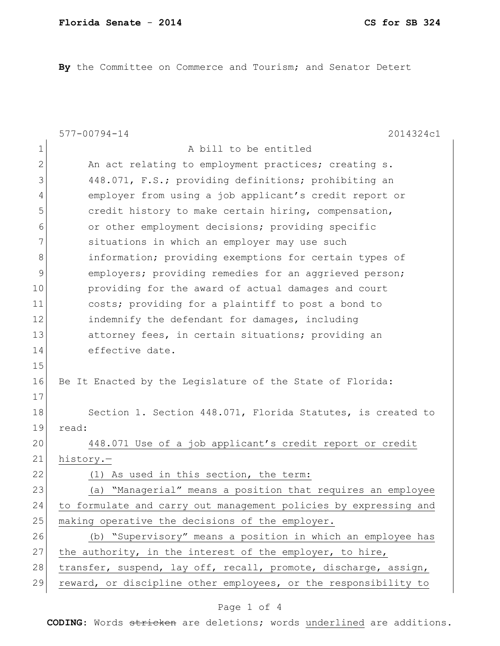By the Committee on Commerce and Tourism; and Senator Detert

|              | $577 - 00794 - 14$<br>2014324c1                                  |
|--------------|------------------------------------------------------------------|
| $\mathbf 1$  | A bill to be entitled                                            |
| $\mathbf{2}$ | An act relating to employment practices; creating s.             |
| 3            | 448.071, F.S.; providing definitions; prohibiting an             |
| 4            | employer from using a job applicant's credit report or           |
| 5            | credit history to make certain hiring, compensation,             |
| 6            | or other employment decisions; providing specific                |
| 7            | situations in which an employer may use such                     |
| 8            | information; providing exemptions for certain types of           |
| 9            | employers; providing remedies for an aggrieved person;           |
| 10           | providing for the award of actual damages and court              |
| 11           | costs; providing for a plaintiff to post a bond to               |
| 12           | indemnify the defendant for damages, including                   |
| 13           | attorney fees, in certain situations; providing an               |
| 14           | effective date.                                                  |
| 15           |                                                                  |
| 16           | Be It Enacted by the Legislature of the State of Florida:        |
| 17           |                                                                  |
| 18           | Section 1. Section 448.071, Florida Statutes, is created to      |
| 19           | read:                                                            |
| 20           | 448.071 Use of a job applicant's credit report or credit         |
| 21           | history.-                                                        |
| 22           | As used in this section, the term:<br>(1)                        |
| 23           | (a) "Managerial" means a position that requires an employee      |
| 24           | to formulate and carry out management policies by expressing and |
| 25           | making operative the decisions of the employer.                  |
| 26           | (b) "Supervisory" means a position in which an employee has      |
| 27           | the authority, in the interest of the employer, to hire,         |
| 28           | transfer, suspend, lay off, recall, promote, discharge, assign,  |
| 29           | reward, or discipline other employees, or the responsibility to  |

## Page 1 of 4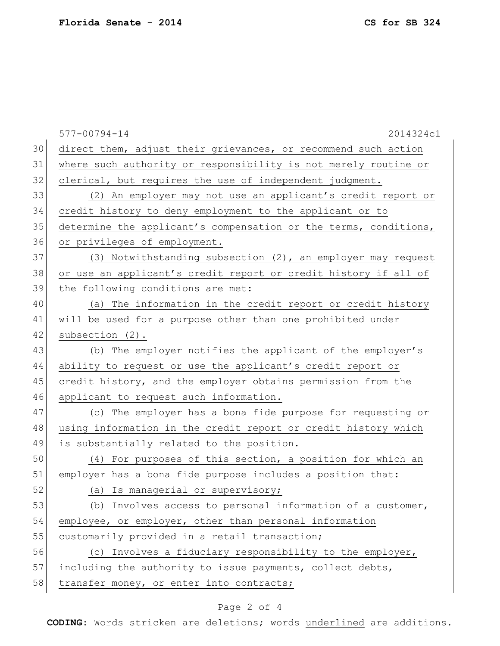577-00794-14 2014324c1 30 direct them, adjust their grievances, or recommend such action 31 where such authority or responsibility is not merely routine or 32 clerical, but requires the use of independent judgment. 33 (2) An employer may not use an applicant's credit report or 34 credit history to deny employment to the applicant or to 35 determine the applicant's compensation or the terms, conditions, 36 or privileges of employment. 37 (3) Notwithstanding subsection (2), an employer may request 38 or use an applicant's credit report or credit history if all of 39 the following conditions are met: 40 (a) The information in the credit report or credit history 41 will be used for a purpose other than one prohibited under 42 subsection (2). 43 (b) The employer notifies the applicant of the employer's 44 ability to request or use the applicant's credit report or 45 credit history, and the employer obtains permission from the 46 applicant to request such information. 47 (c) The employer has a bona fide purpose for requesting or 48 using information in the credit report or credit history which 49 is substantially related to the position. 50 (4) For purposes of this section, a position for which an 51 employer has a bona fide purpose includes a position that: 52 (a) Is managerial or supervisory; 53 (b) Involves access to personal information of a customer, 54 employee, or employer, other than personal information 55 customarily provided in a retail transaction; 56 (c) Involves a fiduciary responsibility to the employer, 57 including the authority to issue payments, collect debts, 58 transfer money, or enter into contracts;

## Page 2 of 4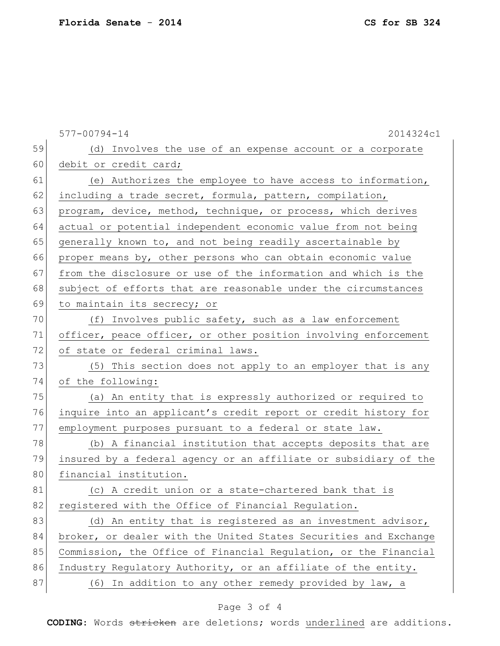577-00794-14 2014324c1 59 (d) Involves the use of an expense account or a corporate 60 debit or credit card; 61 (e) Authorizes the employee to have access to information, 62 including a trade secret, formula, pattern, compilation, 63 program, device, method, technique, or process, which derives 64 actual or potential independent economic value from not being 65 generally known to, and not being readily ascertainable by 66 proper means by, other persons who can obtain economic value 67 from the disclosure or use of the information and which is the 68 subject of efforts that are reasonable under the circumstances 69 to maintain its secrecy; or 70 (f) Involves public safety, such as a law enforcement 71 officer, peace officer, or other position involving enforcement 72 of state or federal criminal laws. 73 (5) This section does not apply to an employer that is any 74 of the following: 75 (a) An entity that is expressly authorized or required to 76 inquire into an applicant's credit report or credit history for 77 employment purposes pursuant to a federal or state law. 78 (b) A financial institution that accepts deposits that are 79 insured by a federal agency or an affiliate or subsidiary of the 80 financial institution. 81 (c) A credit union or a state-chartered bank that is 82 registered with the Office of Financial Regulation. 83 (d) An entity that is registered as an investment advisor, 84 broker, or dealer with the United States Securities and Exchange 85 Commission, the Office of Financial Regulation, or the Financial 86 Industry Regulatory Authority, or an affiliate of the entity. 87 (6) In addition to any other remedy provided by law, a

## Page 3 of 4